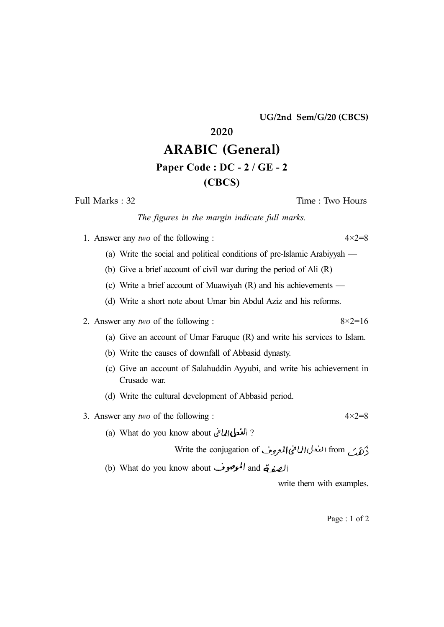**UG/2nd Sem/G/20 (CBCS)**

# **2020**

## **ARABIC (General) Paper Code : DC - 2 / GE - 2**

### **(CBCS)**

Full Marks : 32 Time : Two Hours

#### *The figures in the margin indicate full marks.*

1. Answer any *two* of the following :  $4 \times 2 = 8$ 

- (a) Write the social and political conditions of pre-Islamic Arabiyyah —
- (b) Give a brief account of civil war during the period of Ali (R)
- (c) Write a brief account of Muawiyah (R) and his achievements —
- (d) Write a short note about Umar bin Abdul Aziz and his reforms.

#### 2. Answer any *two* of the following :  $8 \times 2 = 16$

- (a) Give an account of Umar Faruque (R) and write his services to Islam.
- (b) Write the causes of downfall of Abbasid dynasty.
- (c) Give an account of Salahuddin Ayyubi, and write his achievement in Crusade war.
- (d) Write the cultural development of Abbasid period.

### 3. Answer any *two* of the following :  $4 \times 2 = 8$

(a) What do you know about ?

Write the conjugation of الله للإي المعروف Write the conjugation of

(b) What do you know about الموصوف and  $\vec{a}$  and

write them with examples.

Page : 1 of 2